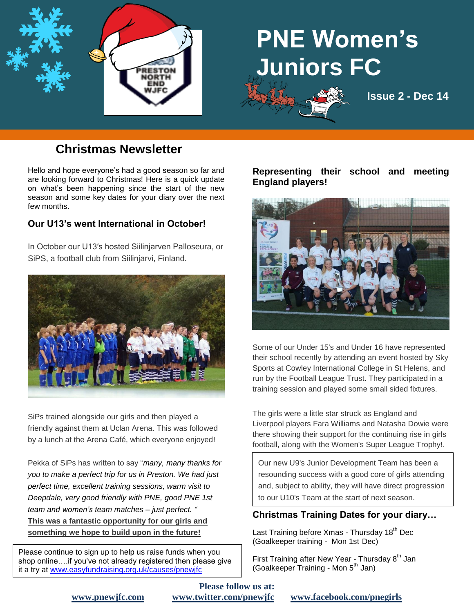

# **PNE Women's Juniors FC**



# **Christmas Newsletter**

Hello and hope everyone's had a good season so far and are looking forward to Christmas! Here is a quick update on what's been happening since the start of the new season and some key dates for your diary over the next few months.

### **Our U13's went International in October!**

In October our U13′s hosted Siilinjarven Palloseura, or SiPS, a football club from Siilinjarvi, Finland.



SiPs trained alongside our girls and then played a friendly against them at Uclan Arena. This was followed by a lunch at the Arena Café, which everyone enjoyed!

Pekka of SiPs has written to say "*many, many thanks for you to make a perfect trip for us in Preston. We had just perfect time, excellent training sessions, warm visit to Deepdale, very good friendly with PNE, good PNE 1st team and women's team matches – just perfect. "* **This was a fantastic opportunity for our girls and something we hope to build upon in the future!**

Please continue to sign up to help us raise funds when you shop online….if you've not already registered then please give it a try at [www.easyfundraising.org.uk/causes/pnewjfc](http://www.easyfundraising.org.uk/causes/pnewjfc)

#### **Representing their school and meeting England players!**



Some of our Under 15's and Under 16 have represented their school recently by attending an event hosted by Sky Sports at Cowley International College in St Helens, and run by the Football League Trust. They participated in a training session and played some small sided fixtures.

The girls were a little star struck as England and Liverpool players Fara Williams and Natasha Dowie were there showing their support for the continuing rise in girls football, along with the Women's Super League Trophy!.

Our new U9's Junior Development Team has been a resounding success with a good core of girls attending and, subject to ability, they will have direct progression to our U10's Team at the start of next season.

#### **Christmas Training Dates for your diary…**

Last Training before Xmas - Thursday 18<sup>th</sup> Dec (Goalkeeper training - Mon 1st Dec)

First Training after New Year - Thursday 8<sup>th</sup> Jan (Goalkeeper Training - Mon 5<sup>th</sup> Jan)

**Please follow us at:**

**[www.pnewjfc.com](http://www.pnewjfc.com/) [www.twitter.com/pnewjfc](http://www.twitter.com/pnewjfc) [www.facebook.com/pnegirls](http://www.facebook.com/pnegirls)**